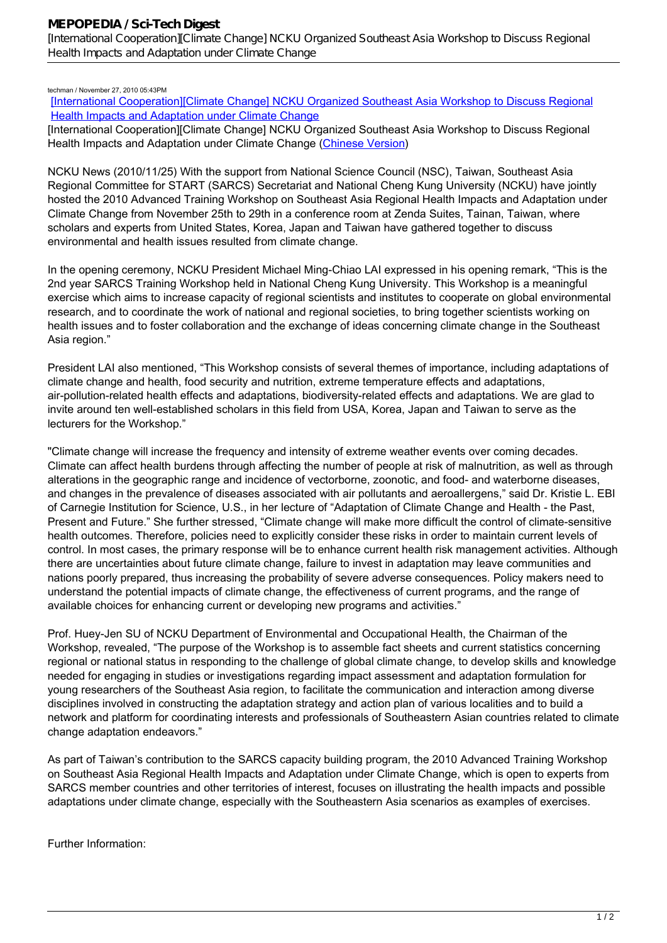## **MEPOPEDIA / Sci-Tech Digest**

[International Cooperation][Climate Change] NCKU Organized Southeast A sia Workshop to Discuss Regional Health Impacts and Adaptation under Climate Change

techman / November 27, 2010 05:43PM

[\[International Cooperation\]\[Climate Change\] NCKU Organized Southeast Asia Workshop to Discuss Regional](http://mepopedia.comhttp://mepopedia.com/forum/read.php?160,9530,9530#msg-9530) **[Health Impacts and Adaptation under Climate Change](http://mepopedia.comhttp://mepopedia.com/forum/read.php?160,9530,9530#msg-9530)** 

[International Cooperation][Climate Change] NCKU Organized Southeast Asia Workshop to Discuss Regional Health Impacts and Adaptation under Climate Change (Chinese Version)

*NCKU News* (2010/11/25) With the support from National Science Council (NSC), Taiwan, Southeast Asia Regional Committee for START (SARCS) Secretariat and National Cheng Kung University (NCKU) have jointly hosted the 2010 Advanced Training Workshop on Southeast Asia Regional Health Impacts and Adaptation under Climate Change from November 25th to 29th in a conference room at Zenda Suites, Tainan, Taiwan, where scholars and experts from United States, Korea, Japan and Taiwan have gathered together to discuss environmental and health issues resulted from climate change.

In the opening ceremony, NCKU President Michael Ming-Chiao LAI expressed in his opening remark, "This is the 2nd year SARCS Training Workshop held in National Cheng Kung University. This Workshop is a meaningful exercise which aims to increase capacity of regional scientists and institutes to cooperate on global environmental research, and to coordinate the work of national and regional societies, to bring together scientists working on health issues and to foster collaboration and the exchange of ideas concerning climate change in the Southeast Asia region."

President LAI also mentioned, "This Workshop consists of several themes of importance, including adaptations of climate change and health, food security and nutrition, extreme temperature effects and adaptations, air-pollution-related health effects and adaptations, biodiversity-related effects and adaptations. We are glad to invite around ten well-established scholars in this field from USA, Korea, Japan and Taiwan to serve as the lecturers for the Workshop."

"Climate change will increase the frequency and intensity of extreme weather events over coming decades. Climate can affect health burdens through affecting the number of people at risk of malnutrition, as well as through alterations in the geographic range and incidence of vectorborne, zoonotic, and food- and waterborne diseases, and changes in the prevalence of diseases associated with air pollutants and aeroallergens," said Dr. Kristie L. EBI of Carnegie Institution for Science, U.S., in her lecture of "Adaptation of Climate Change and Health - the Past, Present and Future." She further stressed, "Climate change will make more difficult the control of climate-sensitive health outcomes. Therefore, policies need to explicitly consider these risks in order to maintain current levels of control. In most cases, the primary response will be to enhance current health risk management activities. Although there are uncertainties about future climate change, failure to invest in adaptation may leave communities and nations poorly prepared, thus increasing the probability of severe adverse consequences. Policy makers need to understand the potential impacts of climate change, the effectiveness of current programs, and the range of available choices for enhancing current or developing new programs and activities."

Prof. Huey-Jen SU of NCKU Department of Environmental and Occupational Health, the Chairman of the Workshop, revealed, "The purpose of the Workshop is to assemble fact sheets and current statistics concerning regional or national status in responding to the challenge of global climate change, to develop skills and knowledge needed for engaging in studies or investigations regarding impact assessment and adaptation formulation for young researchers of the Southeast Asia region, to facilitate the communication and interaction among diverse disciplines involved in constructing the adaptation strategy and action plan of various localities and to build a network and platform for coordinating interests and professionals of Southeastern Asian countries related to climate change adaptation endeavors."

As part of Taiwan's contribution to the SARCS capacity building program, the 2010 Advanced Training Workshop on Southeast Asia Regional Health Impacts and Adaptation under Climate Change, which is open to experts from SARCS member countries and other territories of interest, focuses on illustrating the health impacts and possible adaptations under climate change, especially with the Southeastern Asia scenarios as examples of exercises.

Further Information: